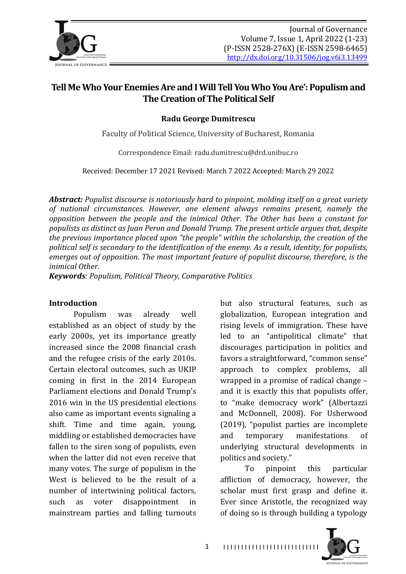

# Tell Me Who Your Enemies Are and I Will Tell You Who You Are': Populism and **The Creation of The Political Self**

**Radu George Dumitrescu**

Faculty of Political Science, University of Bucharest, Romania

Correspondence Email: radu.dumitrescu@drd.unibuc.ro

Received: December 17 2021 Revised: March 7 2022 Accepted: March 29 2022

*Abstract:* Populist discourse is notoriously hard to pinpoint, molding itself on a great variety of national circumstances. However, one element always remains present, namely the *opposition between the people and the inimical Other. The Other has been a constant for* populists as distinct as Juan Peron and Donald Trump. The present article argues that, despite the previous importance placed upon "the people" within the scholarship, the creation of the *political self is secondary to the identification of the enemy. As a result, identity, for populists, emerges out of opposition. The most important feature of populist discourse, therefore, is the inimical Other.*

*Keywords: Populism, Political Theory, Comparative Politics*

#### **Introduction**

Populism was already well established as an object of study by the early 2000s, yet its importance greatly increased since the 2008 financial crash and the refugee crisis of the early 2010s. Certain electoral outcomes, such as UKIP coming in first in the 2014 European Parliament elections and Donald Trump's 2016 win in the US presidential elections also came as important events signaling a shift. Time and time again, young, middling or established democracies have fallen to the siren song of populists, even when the latter did not even receive that many votes. The surge of populism in the West is believed to be the result of a number of intertwining political factors, such as voter disappointment in mainstream parties and falling turnouts but also structural features, such as globalization, European integration and rising levels of immigration. These have led to an "antipolitical climate" that discourages participation in politics and favors a straightforward, "common sense" approach to complex problems, all wrapped in a promise of radical change  $$ and it is exactly this that populists offer, to "make democracy work" (Albertazzi and McDonnell, 2008). For Usherwood  $(2019)$ , "populist parties are incomplete and temporary manifestations of underlying structural developments in politics and society."

To pinpoint this particular affliction of democracy, however, the scholar must first grasp and define it. Ever since Aristotle, the recognized way of doing so is through building a typology



1 I I I I I I I I I I I I I I I I I I I I I I I I I I I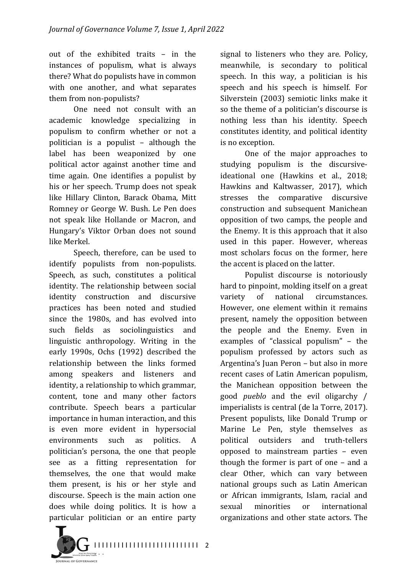out of the exhibited traits – in the instances of populism, what is always there? What do populists have in common with one another, and what separates them from non-populists?

One need not consult with an academic knowledge specializing in populism to confirm whether or not a politician is a populist  $-$  although the label has been weaponized by one political actor against another time and time again. One identifies a populist by his or her speech. Trump does not speak like Hillary Clinton, Barack Obama, Mitt Romney or George W. Bush. Le Pen does not speak like Hollande or Macron, and Hungary's Viktor Orban does not sound like Merkel.

Speech, therefore, can be used to identify populists from non-populists. Speech, as such, constitutes a political identity. The relationship between social identity construction and discursive practices has been noted and studied since the 1980s, and has evolved into such fields as sociolinguistics and linguistic anthropology. Writing in the early 1990s, Ochs (1992) described the relationship between the links formed among speakers and listeners and identity, a relationship to which grammar, content, tone and many other factors contribute. Speech bears a particular importance in human interaction, and this is even more evident in hypersocial environments such as politics. A politician's persona, the one that people see as a fitting representation for themselves, the one that would make them present, is his or her style and discourse. Speech is the main action one does while doing politics. It is how a particular politician or an entire party signal to listeners who they are. Policy, meanwhile, is secondary to political speech. In this way, a politician is his speech and his speech is himself. For Silverstein (2003) semiotic links make it so the theme of a politician's discourse is nothing less than his identity. Speech constitutes identity, and political identity is no exception.

One of the major approaches to studying populism is the discursiveideational one (Hawkins et al., 2018; Hawkins and Kaltwasser, 2017), which stresses the comparative discursive construction and subsequent Manichean opposition of two camps, the people and the Enemy. It is this approach that it also used in this paper. However, whereas most scholars focus on the former, here the accent is placed on the latter.

Populist discourse is notoriously hard to pinpoint, molding itself on a great variety of national circumstances. However, one element within it remains present, namely the opposition between the people and the Enemy. Even in examples of "classical populism"  $-$  the populism professed by actors such as Argentina's Juan Peron – but also in more recent cases of Latin American populism, the Manichean opposition between the good *pueblo* and the evil oligarchy / imperialists is central (de la Torre, 2017). Present populists, like Donald Trump or Marine Le Pen, style themselves as political outsiders and truth-tellers opposed to mainstream parties – even though the former is part of one  $-$  and a clear Other, which can vary between national groups such as Latin American or African immigrants, Islam, racial and sexual minorities or international organizations and other state actors. The

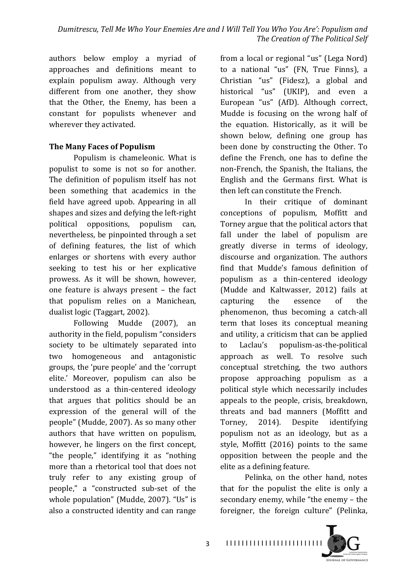authors below employ a myriad of approaches and definitions meant to explain populism away. Although very different from one another, they show that the Other, the Enemy, has been a constant for populists whenever and wherever they activated.

## **The Many Faces of Populism**

Populism is chameleonic. What is populist to some is not so for another. The definition of populism itself has not been something that academics in the field have agreed upob. Appearing in all shapes and sizes and defying the left-right political oppositions, populism can, nevertheless, be pinpointed through a set of defining features, the list of which enlarges or shortens with every author seeking to test his or her explicative prowess. As it will be shown, however, one feature is always present  $-$  the fact that populism relies on a Manichean, dualist logic (Taggart, 2002).

Following Mudde (2007), an authority in the field, populism "considers society to be ultimately separated into two homogeneous and antagonistic groups, the 'pure people' and the 'corrupt elite.' Moreover, populism can also be understood as a thin-centered ideology that argues that politics should be an expression of the general will of the people" (Mudde, 2007). As so many other authors that have written on populism, however, he lingers on the first concept, "the people," identifying it as "nothing more than a rhetorical tool that does not truly refer to any existing group of people," a "constructed sub-set of the whole population" (Mudde, 2007). "Us" is also a constructed identity and can range

from a local or regional "us" (Lega Nord) to a national "us" (FN, True Finns), a Christian "us" (Fidesz), a global and historical "us" (UKIP), and even a European "us" (AfD). Although correct, Mudde is focusing on the wrong half of the equation. Historically, as it will be shown below, defining one group has been done by constructing the Other. To define the French, one has to define the non-French, the Spanish, the Italians, the English and the Germans first. What is then left can constitute the French.

In their critique of dominant conceptions of populism, Moffitt and Torney argue that the political actors that fall under the label of populism are greatly diverse in terms of ideology, discourse and organization. The authors find that Mudde's famous definition of populism as a thin-centered ideology (Mudde and Kaltwasser, 2012) fails at capturing the essence of the phenomenon, thus becoming a catch-all term that loses its conceptual meaning and utility, a criticism that can be applied to Laclau's populism-as-the-political approach as well. To resolve such conceptual stretching, the two authors propose approaching populism as a political style which necessarily includes appeals to the people, crisis, breakdown, threats and bad manners (Moffitt and Torney, 2014). Despite identifying populism not as an ideology, but as a style, Moffitt  $(2016)$  points to the same opposition between the people and the elite as a defining feature.

Pelinka, on the other hand, notes that for the populist the elite is only a secondary enemy, while "the enemy - the foreigner, the foreign culture" (Pelinka,

I I I I I I I I I I I I I I I I I I I I I I I I I

**OURSELLOR COMPRESSION**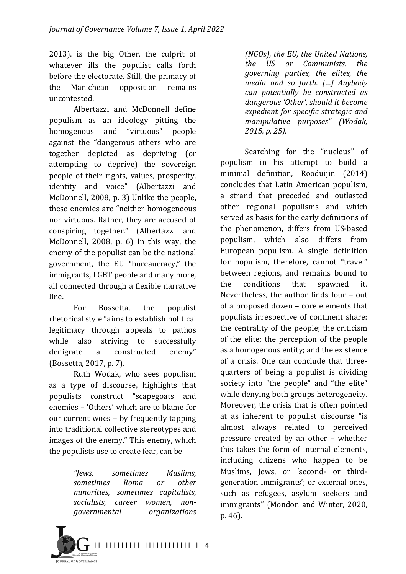2013). is the big Other, the culprit of whatever ills the populist calls forth before the electorate. Still, the primacy of the Manichean opposition remains uncontested.

Albertazzi and McDonnell define populism as an ideology pitting the homogenous and "virtuous" people against the "dangerous others who are together depicted as depriving (or attempting to deprive) the sovereign people of their rights, values, prosperity, identity and voice" (Albertazzi and McDonnell, 2008, p. 3) Unlike the people, these enemies are "neither homogeneous nor virtuous. Rather, they are accused of conspiring together." (Albertazzi and McDonnell, 2008, p. 6) In this way, the enemy of the populist can be the national government, the EU "bureaucracy," the immigrants, LGBT people and many more, all connected through a flexible narrative line. 

For Bossetta, the populist rhetorical style "aims to establish political legitimacy through appeals to pathos while also striving to successfully denigrate a constructed enemy" (Bossetta, 2017, p. 7).

Ruth Wodak, who sees populism as a type of discourse, highlights that populists construct "scapegoats and enemies - 'Others' which are to blame for our current woes  $-$  by frequently tapping into traditional collective stereotypes and images of the enemy." This enemy, which the populists use to create fear, can be

> *"Jews, sometimes Muslims, sometimes Roma or other minorities, sometimes capitalists, socialists, career women, nongovernmental organizations*



*(NGOs), the EU, the United Nations, the US or Communists, the governing parties, the elites, the media and so forth. […] Anybody can potentially be constructed as*  dangerous 'Other', should it become *expedient for specific strategic and manipulative purposes" (Wodak,*  2015, p. 25).

Searching for the "nucleus" of populism in his attempt to build a minimal definition, Rooduijin (2014) concludes that Latin American populism, a strand that preceded and outlasted other regional populisms and which served as basis for the early definitions of the phenomenon, differs from US-based populism, which also differs from European populism. A single definition for populism, therefore, cannot "travel" between regions, and remains bound to the conditions that spawned it. Nevertheless, the author finds four  $-$  out of a proposed dozen - core elements that populists irrespective of continent share: the centrality of the people; the criticism of the elite; the perception of the people as a homogenous entity; and the existence of a crisis. One can conclude that threequarters of being a populist is dividing society into "the people" and "the elite" while denying both groups heterogeneity. Moreover, the crisis that is often pointed at as inherent to populist discourse "is almost always related to perceived pressure created by an other - whether this takes the form of internal elements, including citizens who happen to be Muslims, Jews, or 'second- or thirdgeneration immigrants'; or external ones, such as refugees, asylum seekers and immigrants" (Mondon and Winter, 2020, p. 46).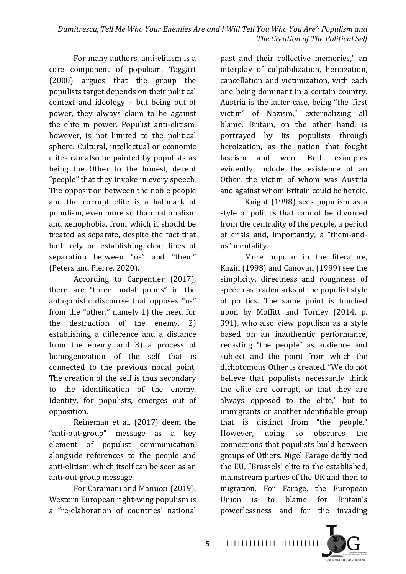For many authors, anti-elitism is a core component of populism. Taggart (2000) argues that the group the populists target depends on their political context and ideology  $-$  but being out of power, they always claim to be against the elite in power. Populist anti-elitism, however, is not limited to the political sphere. Cultural, intellectual or economic elites can also be painted by populists as being the Other to the honest, decent "people" that they invoke in every speech. The opposition between the noble people and the corrupt elite is a hallmark of populism, even more so than nationalism and xenophobia, from which it should be treated as separate, despite the fact that both rely on establishing clear lines of separation between "us" and "them" (Peters and Pierre, 2020).

According to Carpentier (2017), there are "three nodal points" in the antagonistic discourse that opposes "us" from the "other," namely  $1$ ) the need for the destruction of the enemy,  $2$ ) establishing a difference and a distance from the enemy and  $3$ ) a process of homogenization of the self that is connected to the previous nodal point. The creation of the self is thus secondary to the identification of the enemy. Identity, for populists, emerges out of opposition. 

Reineman et al. (2017) deem the "anti-out-group" message as a key element of populist communication, alongside references to the people and anti-elitism, which itself can be seen as an anti-out-group message.

For Caramani and Manucci (2019), Western European right-wing populism is a "re-elaboration of countries' national past and their collective memories," an interplay of culpabilization, heroization, cancellation and victimization, with each one being dominant in a certain country. Austria is the latter case, being "the 'first victim' of Nazism," externalizing all blame. Britain, on the other hand, is portrayed by its populists through heroization, as the nation that fought fascism and won. Both examples evidently include the existence of an Other, the victim of whom was Austria and against whom Britain could be heroic.

Knight  $(1998)$  sees populism as a style of politics that cannot be divorced from the centrality of the people, a period of crisis and, importantly, a "them-andus" mentality.

More popular in the literature, Kazin (1998) and Canovan (1999) see the simplicity, directness and roughness of speech as trademarks of the populist style of politics. The same point is touched upon by Moffitt and Torney (2014, p.  $391$ ), who also view populism as a style based on an inauthentic performance, recasting "the people" as audience and subject and the point from which the dichotomous Other is created. "We do not believe that populists necessarily think the elite are corrupt, or that they are always opposed to the elite," but to immigrants or another identifiable group that is distinct from "the people." However, doing so obscures the connections that populists build between groups of Others. Nigel Farage deftly tied the EU, "Brussels' elite to the established, mainstream parties of the UK and then to migration. For Farage, the European Union is to blame for Britain's powerlessness and for the invading 

I I I I I I I I I I I I I I I I I I I I I I I I I

**OURSELLOR COMPRESSION**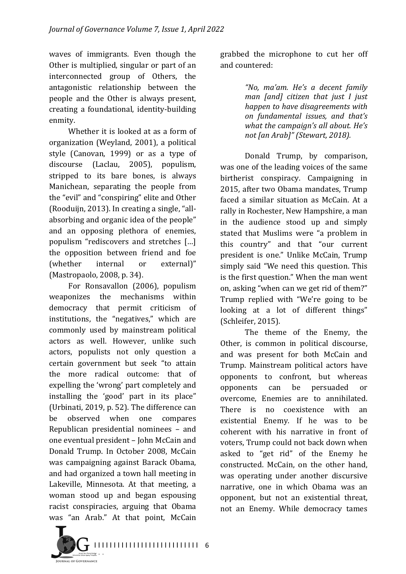waves of immigrants. Even though the Other is multiplied, singular or part of an interconnected group of Others, the antagonistic relationship between the people and the Other is always present, creating a foundational, identity-building enmity.

Whether it is looked at as a form of organization (Weyland, 2001), a political style (Canovan, 1999) or as a type of discourse (Laclau, 2005), populism, stripped to its bare bones, is always Manichean, separating the people from the "evil" and "conspiring" elite and Other (Rooduijn, 2013). In creating a single, "allabsorbing and organic idea of the people" and an opposing plethora of enemies, populism "rediscovers and stretches [...] the opposition between friend and foe (whether internal or external)" (Mastropaolo, 2008, p. 34).

For Ronsavallon (2006), populism weaponizes the mechanisms within democracy that permit criticism of institutions, the "negatives," which are commonly used by mainstream political actors as well. However, unlike such actors, populists not only question a certain government but seek "to attain the more radical outcome: that of expelling the 'wrong' part completely and installing the 'good' part in its place" (Urbinati, 2019, p. 52). The difference can be observed when one compares Republican presidential nominees – and one eventual president - John McCain and Donald Trump. In October 2008, McCain was campaigning against Barack Obama, and had organized a town hall meeting in Lakeville, Minnesota. At that meeting, a woman stood up and began espousing racist conspiracies, arguing that Obama was "an Arab." At that point, McCain

grabbed the microphone to cut her off and countered:

> *"No, ma'am. He's a decent family man [and] citizen that just I just happen to have disagreements with on fundamental issues, and that's what the campaign's all about. He's not [an Arab]" (Stewart, 2018).*

Donald Trump, by comparison, was one of the leading voices of the same birtherist conspiracy. Campaigning in 2015, after two Obama mandates, Trump faced a similar situation as McCain. At a rally in Rochester, New Hampshire, a man in the audience stood up and simply stated that Muslims were "a problem in this country" and that "our current president is one." Unlike McCain, Trump simply said "We need this question. This is the first question." When the man went on, asking "when can we get rid of them?" Trump replied with "We're going to be looking at a lot of different things" (Schleifer, 2015).

The theme of the Enemy, the Other, is common in political discourse, and was present for both McCain and Trump. Mainstream political actors have opponents to confront, but whereas opponents can be persuaded or overcome, Enemies are to annihilated. There is no coexistence with an existential Enemy. If he was to be coherent with his narrative in front of voters, Trump could not back down when asked to "get rid" of the Enemy he constructed. McCain, on the other hand, was operating under another discursive narrative, one in which Obama was an opponent, but not an existential threat, not an Enemy. While democracy tames

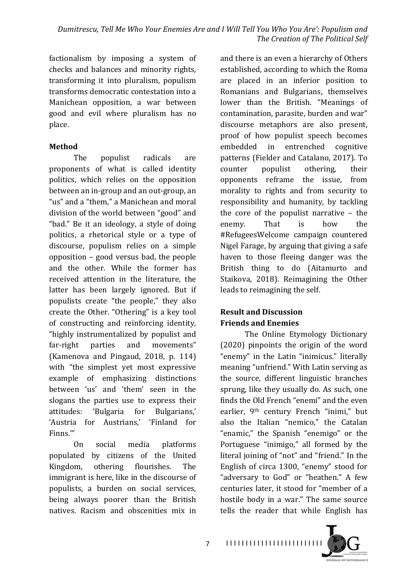factionalism by imposing a system of checks and balances and minority rights, transforming it into pluralism, populism transforms democratic contestation into a Manichean opposition, a war between good and evil where pluralism has no place. 

## **Method**

The populist radicals are proponents of what is called identity politics, which relies on the opposition between an in-group and an out-group, an "us" and a "them," a Manichean and moral division of the world between "good" and "bad." Be it an ideology, a style of doing politics, a rhetorical style or a type of discourse, populism relies on a simple opposition  $-$  good versus bad, the people and the other. While the former has received attention in the literature, the latter has been largely ignored. But if populists create "the people," they also create the Other. "Othering" is a key tool of constructing and reinforcing identity, "highly instrumentalized by populist and far-right parties and movements" (Kamenova and Pingaud,  $2018$ , p.  $114$ ) with "the simplest yet most expressive example of emphasizing distinctions between 'us' and 'them' seen in the slogans the parties use to express their attitudes: 'Bulgaria for Bulgarians,' 'Austria for Austrians,' 'Finland for Finns.'"

On social media platforms populated by citizens of the United Kingdom, othering flourishes. The immigrant is here, like in the discourse of populists, a burden on social services, being always poorer than the British natives. Racism and obscenities mix in  and there is an even a hierarchy of Others established, according to which the Roma are placed in an inferior position to Romanians and Bulgarians, themselves lower than the British. "Meanings of contamination, parasite, burden and war" discourse metaphors are also present, proof of how populist speech becomes embedded in entrenched cognitive patterns (Fielder and Catalano, 2017). To counter populist othering, their opponents reframe the issue, from morality to rights and from security to responsibility and humanity, by tackling the core of the populist narrative  $-$  the enemy. That is how the #RefugeesWelcome campaign countered Nigel Farage, by arguing that giving a safe haven to those fleeing danger was the British thing to do (Aitamurto and Staikova, 2018). Reimagining the Other leads to reimagining the self.

# **Result and Discussion Friends and Enemies**

The Online Etymology Dictionary  $(2020)$  pinpoints the origin of the word "enemy" in the Latin "inimicus." literally meaning "unfriend." With Latin serving as the source, different linguistic branches sprung, like they usually do. As such, one finds the Old French "enemi" and the even earlier, 9<sup>th</sup> century French "inimi," but also the Italian "nemico," the Catalan "enamic," the Spanish "enemigo" or the Portuguese "inimigo," all formed by the literal joining of "not" and "friend." In the English of circa 1300, "enemy" stood for "adversary to God" or "heathen." A few centuries later, it stood for "member of a hostile body in a war." The same source tells the reader that while English has

I I I I I I I I I I I I I I I I I I I I I I I I I

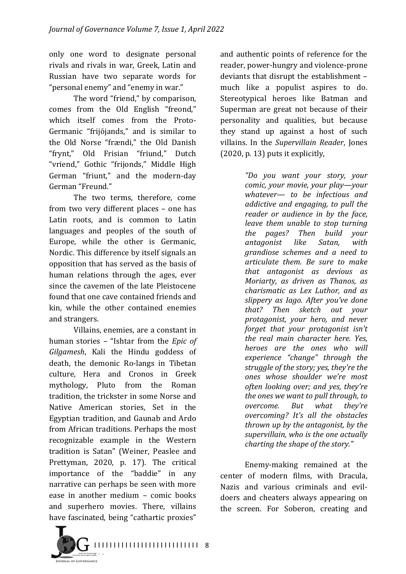only one word to designate personal rivals and rivals in war, Greek, Latin and Russian have two separate words for "personal enemy" and "enemy in war."

The word "friend," by comparison, comes from the Old English "freond," which itself comes from the Proto-Germanic "frijojands," and is similar to the Old Norse "frændi," the Old Danish "frynt," Old Frisian "friund," Dutch "vriend," Gothic "frijonds," Middle High German "friunt," and the modern-day German "Freund."

The two terms, therefore, come from two very different places - one has Latin roots, and is common to Latin languages and peoples of the south of Europe, while the other is Germanic, Nordic. This difference by itself signals an opposition that has served as the basis of human relations through the ages, ever since the cavemen of the late Pleistocene found that one cave contained friends and kin, while the other contained enemies and strangers.

Villains, enemies, are a constant in human stories – "Ishtar from the *Epic of* Gilgamesh, Kali the Hindu goddess of death, the demonic Ro-langs in Tibetan culture, Hera and Cronos in Greek mythology, Pluto from the Roman tradition, the trickster in some Norse and Native American stories, Set in the Egyptian tradition, and Gaunab and Ardo from African traditions. Perhaps the most recognizable example in the Western tradition is Satan" (Weiner, Peaslee and Prettyman, 2020, p. 17). The critical importance of the "baddie" in any narrative can perhaps be seen with more ease in another medium  $-$  comic books and superhero movies. There, villains have fascinated, being "cathartic proxies"

and authentic points of reference for the reader, power-hungry and violence-prone deviants that disrupt the establishment much like a populist aspires to do. Stereotypical heroes like Batman and Superman are great not because of their personality and qualities, but because they stand up against a host of such villains. In the Supervillain Reader, Jones  $(2020, p. 13)$  puts it explicitly,

> *"Do you want your story, your comic, your movie, your play—your* whatever— to be infectious and *addictive and engaging, to pull the reader or audience in by the face, leave them unable to stop turning the pages? Then build your antagonist like Satan, with grandiose schemes and a need to articulate them. Be sure to make that antagonist as devious as Moriarty, as driven as Thanos, as charismatic as Lex Luthor, and as slippery as Iago. After you've done that? Then sketch out your protagonist, your hero, and never forget that your protagonist isn't the real main character here. Yes, heroes are the ones who* will *experience "change" through the struggle of the story; yes, they're the ones whose shoulder we're most often looking over; and yes, they're the ones we want to pull through, to overcome. But what they're overcoming? It's all the obstacles thrown up by the antagonist, by the* supervillain, who is the one actually *charting the shape of the story."*

Enemy-making remained at the center of modern films, with Dracula, Nazis and various criminals and evildoers and cheaters always appearing on the screen. For Soberon, creating and

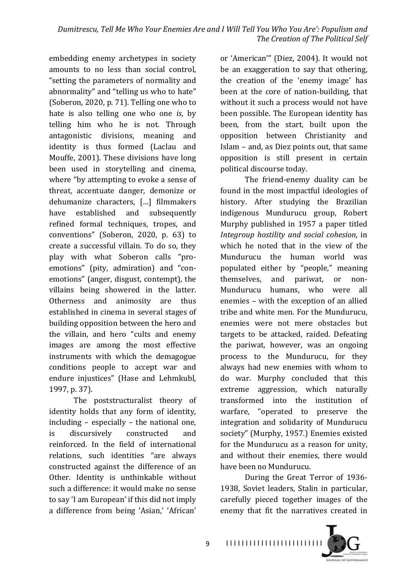embedding enemy archetypes in society amounts to no less than social control, "setting the parameters of normality and abnormality" and "telling us who to hate" (Soberon, 2020, p. 71). Telling one who to hate is also telling one who one *is*, by telling him who he is not. Through antagonistic divisions, meaning and identity is thus formed (Laclau and Mouffe, 2001). These divisions have long been used in storytelling and cinema, where "by attempting to evoke a sense of threat, accentuate danger, demonize or dehumanize characters, [...] filmmakers have established and subsequently refined formal techniques, tropes, and conventions" (Soberon, 2020, p. 63) to create a successful villain. To do so, they play with what Soberon calls "proemotions" (pity, admiration) and "conemotions" (anger, disgust, contempt), the villains being showered in the latter. Otherness and animosity are thus established in cinema in several stages of building opposition between the hero and the villain, and hero "cults and enemy images are among the most effective instruments with which the demagogue conditions people to accept war and endure injustices" (Hase and Lehmkubl, 1997, p. 37).

The poststructuralist theory of identity holds that any form of identity, including  $-$  especially  $-$  the national one, is discursively constructed and reinforced. In the field of international relations, such identities "are always constructed against the difference of an Other. Identity is unthinkable without such a difference: it would make no sense to say 'I am European' if this did not imply a difference from being 'Asian,' 'African'

or 'American'" (Diez, 2004). It would not be an exaggeration to say that othering, the creation of the 'enemy image' has been at the core of nation-building, that without it such a process would not have been possible. The European identity has been, from the start, built upon the opposition between Christianity and Islam – and, as Diez points out, that same opposition is still present in certain political discourse today.

The friend-enemy duality can be found in the most impactful ideologies of history. After studying the Brazilian indigenous Mundurucu group, Robert Murphy published in 1957 a paper titled *Integroup hostility and social cohesion*, in which he noted that in the view of the Mundurucu the human world was populated either by "people," meaning themselves, and pariwat, or non-Mundurucu humans, who were all enemies - with the exception of an allied tribe and white men. For the Mundurucu, enemies were not mere obstacles but targets to be attacked, raided. Defeating the pariwat, however, was an ongoing process to the Mundurucu, for they always had new enemies with whom to do war. Murphy concluded that this extreme aggression, which naturally transformed into the institution of warfare, "operated to preserve the integration and solidarity of Mundurucu society" (Murphy, 1957.) Enemies existed for the Mundurucu as a reason for unity, and without their enemies, there would have been no Mundurucu.

During the Great Terror of 1936-1938, Soviet leaders, Stalin in particular, carefully pieced together images of the enemy that fit the narratives created in



**OURSIAL OF COVERNANC**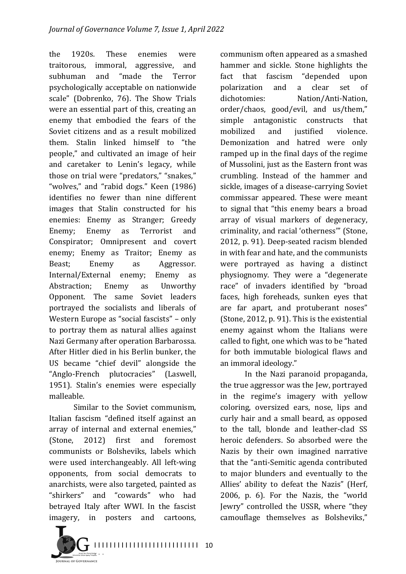the 1920s. These enemies were traitorous, immoral, aggressive, and subhuman and "made the Terror psychologically acceptable on nationwide scale" (Dobrenko, 76). The Show Trials were an essential part of this, creating an enemy that embodied the fears of the Soviet citizens and as a result mobilized them. Stalin linked himself to "the people," and cultivated an image of heir and caretaker to Lenin's legacy, while those on trial were "predators," "snakes," "wolves," and "rabid dogs." Keen (1986) identifies no fewer than nine different images that Stalin constructed for his enemies: Enemy as Stranger; Greedy Enemy; Enemy as Terrorist and Conspirator; Omnipresent and covert enemy; Enemy as Traitor; Enemy as Beast; Enemy as Aggressor. Internal/External enemy; Enemy as Abstraction; Enemy as Unworthy Opponent. The same Soviet leaders portrayed the socialists and liberals of Western Europe as "social fascists" - only to portray them as natural allies against Nazi Germany after operation Barbarossa. After Hitler died in his Berlin bunker, the US became "chief devil" alongside the "Anglo-French plutocracies" (Laswell, 1951). Stalin's enemies were especially malleable. 

Similar to the Soviet communism. Italian fascism "defined itself against an array of internal and external enemies," (Stone, 2012) first and foremost communists or Bolsheviks, labels which were used interchangeably. All left-wing opponents, from social democrats to anarchists, were also targeted, painted as "shirkers" and "cowards" who had betrayed Italy after WWI. In the fascist imagery, in posters and cartoons, communism often appeared as a smashed hammer and sickle. Stone highlights the fact that fascism "depended upon polarization and a clear set of dichotomies: Nation/Anti-Nation, order/chaos, good/evil, and us/them," simple antagonistic constructs that mobilized and iustified violence. Demonization and hatred were only ramped up in the final days of the regime of Mussolini, just as the Eastern front was crumbling. Instead of the hammer and sickle, images of a disease-carrying Soviet commissar appeared. These were meant to signal that "this enemy bears a broad array of visual markers of degeneracy, criminality, and racial 'otherness'" (Stone, 2012, p. 91). Deep-seated racism blended in with fear and hate, and the communists were portrayed as having a distinct physiognomy. They were a "degenerate race" of invaders identified by "broad faces, high foreheads, sunken eyes that are far apart, and protuberant noses" (Stone, 2012, p. 91). This is the existential enemy against whom the Italians were called to fight, one which was to be "hated for both immutable biological flaws and an immoral ideology."

In the Nazi paranoid propaganda, the true aggressor was the Jew, portrayed in the regime's imagery with yellow coloring, oversized ears, nose, lips and curly hair and a small beard, as opposed to the tall, blonde and leather-clad SS heroic defenders. So absorbed were the Nazis by their own imagined narrative that the "anti-Semitic agenda contributed to major blunders and eventually to the Allies' ability to defeat the Nazis" (Herf, 2006, p. 6). For the Nazis, the "world Jewry" controlled the USSR, where "they camouflage themselves as Bolsheviks,"

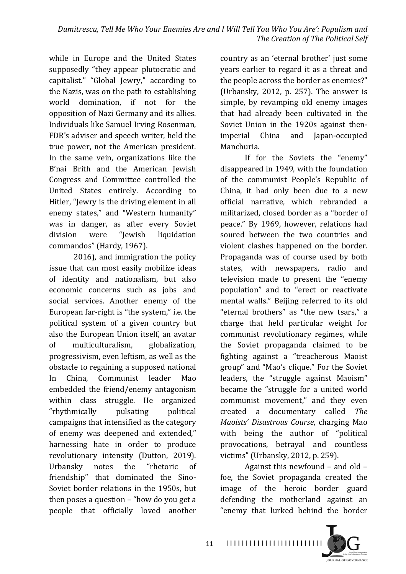while in Europe and the United States supposedly "they appear plutocratic and capitalist." "Global Jewry," according to the Nazis, was on the path to establishing world domination, if not for the opposition of Nazi Germany and its allies. Individuals like Samuel Irving Rosenman, FDR's adviser and speech writer, held the true power, not the American president. In the same vein, organizations like the B'nai Brith and the American Jewish Congress and Committee controlled the United States entirely. According to Hitler, "Jewry is the driving element in all enemy states," and "Western humanity" was in danger, as after every Soviet division were "Jewish liquidation commandos" (Hardy, 1967).

2016), and immigration the policy issue that can most easily mobilize ideas of identity and nationalism, but also economic concerns such as jobs and social services. Another enemy of the European far-right is "the system," i.e. the political system of a given country but also the European Union itself, an avatar of multiculturalism, globalization, progressivism, even leftism, as well as the obstacle to regaining a supposed national In China, Communist leader Mao embedded the friend/enemy antagonism within class struggle. He organized "rhythmically pulsating political campaigns that intensified as the category of enemy was deepened and extended," harnessing hate in order to produce revolutionary intensity (Dutton, 2019). Urbansky notes the "rhetoric of friendship" that dominated the Sino-Soviet border relations in the 1950s, but then poses a question  $-$  "how do you get a people that officially loved another country as an 'eternal brother' just some years earlier to regard it as a threat and the people across the border as enemies?" (Urbansky, 2012, p. 257). The answer is simple, by revamping old enemy images that had already been cultivated in the Soviet Union in the 1920s against thenimperial China and Japan-occupied Manchuria. 

If for the Soviets the "enemy" disappeared in 1949, with the foundation of the communist People's Republic of China, it had only been due to a new official narrative, which rebranded a militarized, closed border as a "border of peace." By 1969, however, relations had soured between the two countries and violent clashes happened on the border. Propaganda was of course used by both states, with newspapers, radio and television made to present the "enemy population" and to "erect or reactivate mental walls." Beijing referred to its old "eternal brothers" as "the new tsars," a charge that held particular weight for communist revolutionary regimes, while the Soviet propaganda claimed to be fighting against a "treacherous Maoist group" and "Mao's clique." For the Soviet leaders, the "struggle against Maoism" became the "struggle for a united world communist movement," and they even created a documentary called *The Maoists' Disastrous Course*, charging Mao with being the author of "political provocations, betrayal and countless victims" (Urbansky, 2012, p. 259).

Against this newfound  $-$  and old  $$ foe, the Soviet propaganda created the image of the heroic border guard defending the motherland against an "enemy that lurked behind the border

I I I I I I I I I I I I I I I I I I I I I I I I I

**OURSELLOR COMPRESSION**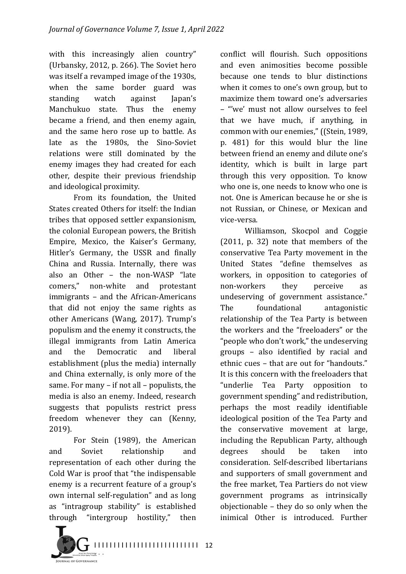with this increasingly alien country" (Urbansky, 2012, p. 266). The Soviet hero was itself a revamped image of the 1930s, when the same border guard was standing watch against Japan's Manchukuo state. Thus the enemy became a friend, and then enemy again, and the same hero rose up to battle. As late as the 1980s, the Sino-Soviet relations were still dominated by the enemy images they had created for each other, despite their previous friendship and ideological proximity.

From its foundation, the United States created Others for itself: the Indian tribes that opposed settler expansionism, the colonial European powers, the British Empire, Mexico, the Kaiser's Germany, Hitler's Germany, the USSR and finally China and Russia. Internally, there was also an Other - the non-WASP "late comers," non-white and protestant immigrants - and the African-Americans that did not enjoy the same rights as other Americans (Wang, 2017). Trump's populism and the enemy it constructs, the illegal immigrants from Latin America and the Democratic and liberal establishment (plus the media) internally and China externally, is only more of the same. For many  $-$  if not all  $-$  populists, the media is also an enemy. Indeed, research suggests that populists restrict press freedom whenever they can (Kenny, 2019).

For Stein (1989), the American and Soviet relationship and representation of each other during the Cold War is proof that "the indispensable enemy is a recurrent feature of a group's own internal self-regulation" and as long as "intragroup stability" is established through "intergroup hostility," then conflict will flourish. Such oppositions and even animosities become possible because one tends to blur distinctions when it comes to one's own group, but to maximize them toward one's adversaries – "'we' must not allow ourselves to feel that we have much, if anything, in common with our enemies," ((Stein, 1989, p. 481) for this would blur the line between friend an enemy and dilute one's identity, which is built in large part through this very opposition. To know who one is, one needs to know who one is not. One is American because he or she is not Russian, or Chinese, or Mexican and vice-versa. 

Williamson, Skocpol and Coggie  $(2011, p. 32)$  note that members of the conservative Tea Party movement in the United States "define themselves as workers, in opposition to categories of non-workers they perceive as undeserving of government assistance." The foundational antagonistic relationship of the Tea Party is between the workers and the "freeloaders" or the "people who don't work," the undeserving groups – also identified by racial and ethnic cues – that are out for "handouts." It is this concern with the freeloaders that "underlie Tea Party opposition to government spending" and redistribution, perhaps the most readily identifiable ideological position of the Tea Party and the conservative movement at large, including the Republican Party, although degrees should be taken into consideration. Self-described libertarians and supporters of small government and the free market, Tea Partiers do not view government programs as intrinsically objectionable  $-$  they do so only when the inimical Other is introduced. Further 

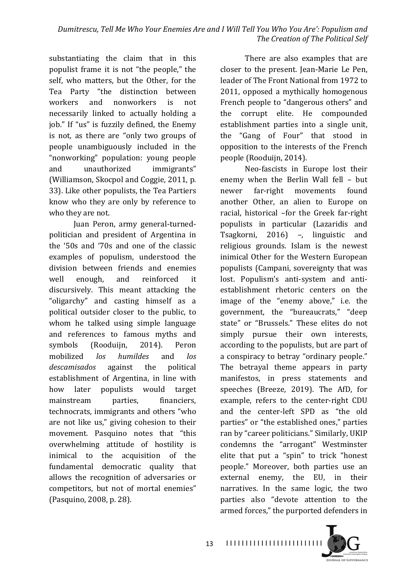substantiating the claim that in this populist frame it is not "the people," the self, who matters, but the Other, for the Tea Party "the distinction between workers and nonworkers is not necessarily linked to actually holding a job." If "us" is fuzzily defined, the Enemy is not, as there are "only two groups of people unambiguously included in the "nonworking" population: young people and unauthorized immigrants" (Williamson, Skocpol and Coggie, 2011, p. 33). Like other populists, the Tea Partiers know who they are only by reference to who they are not.

Juan Peron, army general-turnedpolitician and president of Argentina in the '50s and '70s and one of the classic examples of populism, understood the division between friends and enemies well enough, and reinforced it discursively. This meant attacking the "oligarchy" and casting himself as a political outsider closer to the public, to whom he talked using simple language and references to famous myths and symbols (Rooduijn, 2014). Peron mobilized *los humildes* and *los* descamisados against the political establishment of Argentina, in line with how later populists would target mainstream parties, financiers, technocrats, immigrants and others "who are not like us," giving cohesion to their movement. Pasquino notes that "this overwhelming attitude of hostility is inimical to the acquisition of the fundamental democratic quality that allows the recognition of adversaries or competitors, but not of mortal enemies" (Pasquino, 2008, p. 28).

There are also examples that are closer to the present. Jean-Marie Le Pen, leader of The Front National from 1972 to 2011, opposed a mythically homogenous French people to "dangerous others" and the corrupt elite. He compounded establishment parties into a single unit, the "Gang of Four" that stood in opposition to the interests of the French people (Rooduijn, 2014).

Neo-fascists in Europe lost their enemy when the Berlin Wall fell - but newer far-right movements found another Other, an alien to Europe on racial, historical -for the Greek far-right populists in particular (Lazaridis and Tsagkorni, 2016) –, linguistic and religious grounds. Islam is the newest inimical Other for the Western European populists (Campani, sovereignty that was lost. Populism's anti-system and antiestablishment rhetoric centers on the image of the "enemy above," i.e. the government, the "bureaucrats," "deep state" or "Brussels." These elites do not simply pursue their own interests, according to the populists, but are part of a conspiracy to betray "ordinary people." The betrayal theme appears in party manifestos, in press statements and speeches (Breeze, 2019). The AfD, for example, refers to the center-right CDU and the center-left SPD as "the old parties" or "the established ones," parties ran by "career politicians." Similarly, UKIP condemns the "arrogant" Westminster elite that put a "spin" to trick "honest people." Moreover, both parties use an external enemy, the EU, in their narratives. In the same logic, the two parties also "devote attention to the armed forces," the purported defenders in

I I I I I I I I I I I I I I I I I I I I I I I I I

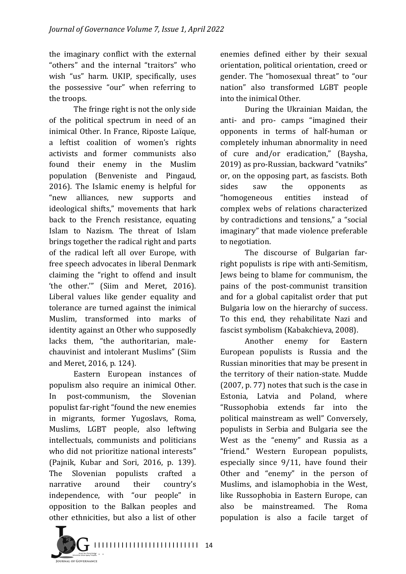the imaginary conflict with the external "others" and the internal "traitors" who wish "us" harm. UKIP, specifically, uses the possessive "our" when referring to the troops.

The fringe right is not the only side of the political spectrum in need of an inimical Other. In France, Riposte Laïque, a leftist coalition of women's rights activists and former communists also found their enemy in the Muslim population (Benveniste and Pingaud, 2016). The Islamic enemy is helpful for "new alliances, new supports and ideological shifts," movements that hark back to the French resistance, equating Islam to Nazism. The threat of Islam brings together the radical right and parts of the radical left all over Europe, with free speech advocates in liberal Denmark claiming the "right to offend and insult 'the other.'" (Siim and Meret, 2016). Liberal values like gender equality and tolerance are turned against the inimical Muslim, transformed into marks of identity against an Other who supposedly lacks them, "the authoritarian, malechauvinist and intolerant Muslims" (Siim and Meret, 2016, p. 124).

Eastern European instances of populism also require an inimical Other. In post-communism, the Slovenian populist far-right "found the new enemies" in migrants, former Yugoslavs, Roma, Muslims, LGBT people, also leftwing intellectuals, communists and politicians who did not prioritize national interests" (Pajnik, Kubar and Sori, 2016, p. 139). The Slovenian populists crafted a narrative around their country's independence, with "our people" in opposition to the Balkan peoples and other ethnicities, but also a list of other

enemies defined either by their sexual orientation, political orientation, creed or gender. The "homosexual threat" to "our nation" also transformed LGBT people into the inimical Other.

During the Ukrainian Maidan, the anti- and pro- camps "imagined their opponents in terms of half-human or completely inhuman abnormality in need of cure and/or eradication," (Baysha, 2019) as pro-Russian, backward "vatniks" or, on the opposing part, as fascists. Both sides saw the opponents as "homogeneous entities instead of complex webs of relations characterized by contradictions and tensions," a "social imaginary" that made violence preferable to negotiation.

The discourse of Bulgarian farright populists is ripe with anti-Semitism, Jews being to blame for communism, the pains of the post-communist transition and for a global capitalist order that put Bulgaria low on the hierarchy of success. To this end, they rehabilitate Nazi and fascist symbolism (Kabakchieva, 2008).

Another enemy for Eastern European populists is Russia and the Russian minorities that may be present in the territory of their nation-state. Mudde  $(2007, p. 77)$  notes that such is the case in Estonia, Latvia and Poland, where "Russophobia extends far into the political mainstream as well" Conversely, populists in Serbia and Bulgaria see the West as the "enemy" and Russia as a "friend." Western European populists, especially since  $9/11$ , have found their Other and "enemy" in the person of Muslims, and islamophobia in the West, like Russophobia in Eastern Europe, can also be mainstreamed. The Roma population is also a facile target of

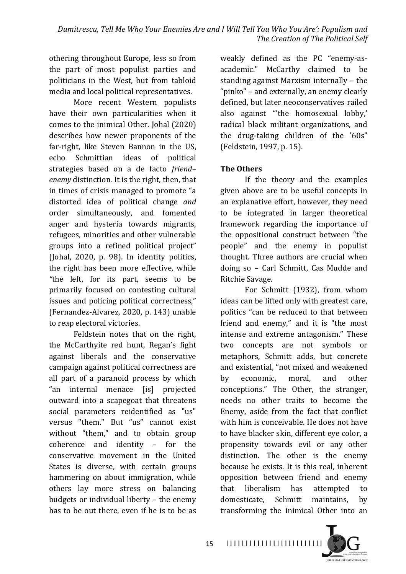othering throughout Europe, less so from the part of most populist parties and politicians in the West, but from tabloid media and local political representatives.

More recent Western populists have their own particularities when it comes to the inimical Other. Johal (2020) describes how newer proponents of the far-right, like Steven Bannon in the US, echo Schmittian ideas of political strategies based on a de facto *friend– enemy* distinction. It is the right, then, that in times of crisis managed to promote "a distorted idea of political change and order simultaneously, and fomented anger and hysteria towards migrants, refugees, minorities and other vulnerable groups into a refined political project" (Johal,  $2020$ , p. 98). In identity politics, the right has been more effective, while "the left, for its part, seems to be primarily focused on contesting cultural issues and policing political correctness," (Fernandez-Alvarez, 2020, p. 143) unable to reap electoral victories.

Feldstein notes that on the right, the McCarthyite red hunt, Regan's fight against liberals and the conservative campaign against political correctness are all part of a paranoid process by which "an internal menace [is] projected outward into a scapegoat that threatens social parameters reidentified as "us" versus "them." But "us" cannot exist without "them," and to obtain group coherence and identity - for the conservative movement in the United States is diverse, with certain groups hammering on about immigration, while others lay more stress on balancing budgets or individual liberty  $-$  the enemy has to be out there, even if he is to be as weakly defined as the PC "enemy-asacademic." McCarthy claimed to be standing against Marxism internally – the "pinko" – and externally, an enemy clearly defined, but later neoconservatives railed also against "the homosexual lobby,' radical black militant organizations, and the drug-taking children of the  $'60s''$ (Feldstein, 1997, p. 15).

# **The Others**

If the theory and the examples given above are to be useful concepts in an explanative effort, however, they need to be integrated in larger theoretical framework regarding the importance of the oppositional construct between "the people" and the enemy in populist thought. Three authors are crucial when doing so - Carl Schmitt, Cas Mudde and Ritchie Savage.

For Schmitt (1932), from whom ideas can be lifted only with greatest care, politics "can be reduced to that between friend and enemy," and it is "the most intense and extreme antagonism." These two concepts are not symbols or metaphors, Schmitt adds, but concrete and existential, "not mixed and weakened by economic, moral, and other conceptions." The Other, the stranger, needs no other traits to become the Enemy, aside from the fact that conflict with him is conceivable. He does not have to have blacker skin, different eye color, a propensity towards evil or any other distinction. The other is the enemy because he exists. It is this real, inherent opposition between friend and enemy that liberalism has attempted to domesticate, Schmitt maintains, by transforming the inimical Other into an

**OURSELL OF COVERNMENT** 

I I I I I I I I I I I I I I I I I I I I I I I I I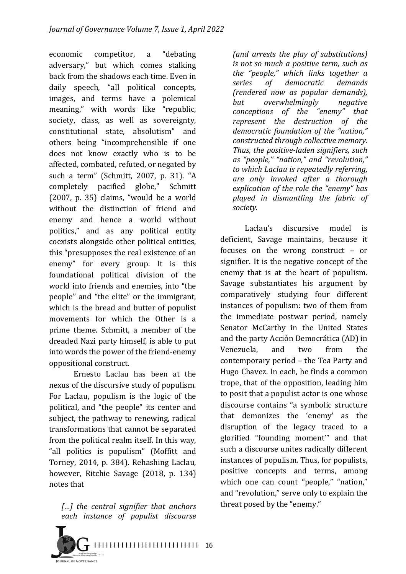economic competitor, a "debating adversary," but which comes stalking back from the shadows each time. Even in daily speech, "all political concepts, images, and terms have a polemical meaning," with words like "republic, society, class, as well as sovereignty, constitutional state, absolutism" and others being "incomprehensible if one does not know exactly who is to be affected, combated, refuted, or negated by such a term" (Schmitt, 2007, p. 31). "A completely pacified globe," Schmitt  $(2007, p. 35)$  claims, "would be a world without the distinction of friend and enemy and hence a world without politics," and as any political entity coexists alongside other political entities, this "presupposes the real existence of an enemy" for every group. It is this foundational political division of the world into friends and enemies, into "the people" and "the elite" or the immigrant, which is the bread and butter of populist movements for which the Other is a prime theme. Schmitt, a member of the dreaded Nazi party himself, is able to put into words the power of the friend-enemy oppositional construct.

Ernesto Laclau has been at the nexus of the discursive study of populism. For Laclau, populism is the logic of the political, and "the people" its center and subject, the pathway to renewing, radical transformations that cannot be separated from the political realm itself. In this way, "all politics is populism" (Moffitt and Torney, 2014, p. 384). Rehashing Laclau, however, Ritchie Savage (2018, p. 134) notes that

[...] the central signifier that anchors *each instance of populist discourse* 



*(and arrests the play of substitutions) is not so much a positive term, such as the "people," which links together a series of democratic demands (rendered now as popular demands),*  **but** overwhelmingly negative *conceptions of the "enemy" that represent the destruction of the*  democratic foundation of the "nation," *constructed through collective memory.* Thus, the *positive-laden signifiers*, such *as "people," "nation," and "revolution,"*  to which Laclau is repeatedly referring, *are only invoked after a thorough*  explication of the role the "enemy" has *played in dismantling the fabric of society.*

Laclau's discursive model is deficient. Savage maintains, because it focuses on the wrong construct  $-$  or signifier. It is the negative concept of the enemy that is at the heart of populism. Savage substantiates his argument by comparatively studying four different instances of populism: two of them from the immediate postwar period, namely Senator McCarthy in the United States and the party Acción Democrática (AD) in Venezuela, and two from the contemporary period – the Tea Party and Hugo Chavez. In each, he finds a common trope, that of the opposition, leading him to posit that a populist actor is one whose discourse contains "a symbolic structure that demonizes the 'enemy' as the disruption of the legacy traced to a glorified "founding moment'" and that such a discourse unites radically different instances of populism. Thus, for populists, positive concepts and terms, among which one can count "people," "nation," and "revolution," serve only to explain the threat posed by the "enemy."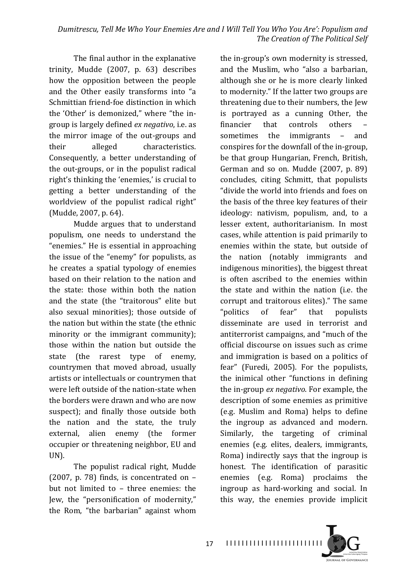The final author in the explanative trinity, Mudde (2007, p. 63) describes how the opposition between the people and the Other easily transforms into "a Schmittian friend-foe distinction in which the 'Other' is demonized," where "the ingroup is largely defined *ex negativo*, i.e. as the mirror image of the out-groups and their alleged characteristics. Consequently, a better understanding of the out-groups, or in the populist radical right's thinking the 'enemies,' is crucial to getting a better understanding of the worldview of the populist radical right" (Mudde, 2007, p. 64).

Mudde argues that to understand populism, one needs to understand the "enemies." He is essential in approaching the issue of the "enemy" for populists, as he creates a spatial typology of enemies based on their relation to the nation and the state: those within both the nation and the state (the "traitorous" elite but also sexual minorities); those outside of the nation but within the state (the ethnic minority or the immigrant community); those within the nation but outside the state (the rarest type of enemy, countrymen that moved abroad, usually artists or intellectuals or countrymen that were left outside of the nation-state when the borders were drawn and who are now suspect); and finally those outside both the nation and the state, the truly external, alien enemy (the former occupier or threatening neighbor, EU and UN).

The populist radical right, Mudde (2007, p. 78) finds, is concentrated on  $$ but not limited to - three enemies: the Jew, the "personification of modernity," the Rom, "the barbarian" against whom the in-group's own modernity is stressed, and the Muslim, who "also a barbarian, although she or he is more clearly linked to modernity." If the latter two groups are threatening due to their numbers, the Jew is portrayed as a cunning Other, the financier that controls others sometimes the immigrants – and conspires for the downfall of the in-group, be that group Hungarian, French, British, German and so on. Mudde  $(2007, p. 89)$ concludes, citing Schmitt, that populists "divide the world into friends and foes on the basis of the three key features of their ideology: nativism, populism, and, to a lesser extent, authoritarianism. In most cases, while attention is paid primarily to enemies within the state, but outside of the nation (notably immigrants and indigenous minorities), the biggest threat is often ascribed to the enemies within the state and within the nation (i.e. the corrupt and traitorous elites)." The same "politics of fear" that populists disseminate are used in terrorist and antiterrorist campaigns, and "much of the official discourse on issues such as crime and immigration is based on a politics of fear" (Furedi, 2005). For the populists, the inimical other "functions in defining the in-group *ex negativo*. For example, the description of some enemies as primitive (e.g. Muslim and Roma) helps to define the ingroup as advanced and modern. Similarly, the targeting of criminal enemies (e.g. elites, dealers, immigrants, Roma) indirectly says that the ingroup is honest. The identification of parasitic enemies (e.g. Roma) proclaims the ingroup as hard-working and social. In this way, the enemies provide implicit



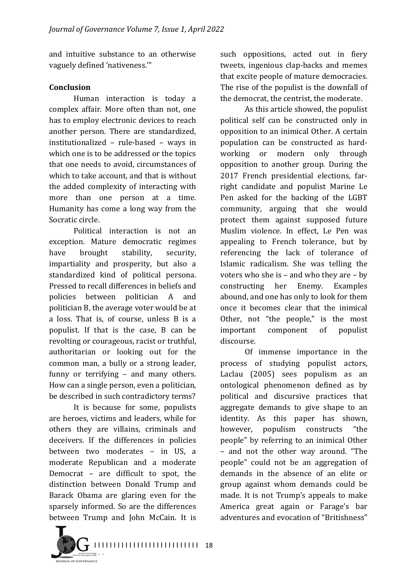and intuitive substance to an otherwise vaguely defined 'nativeness."

### **Conclusion**

Human interaction is today a complex affair. More often than not, one has to employ electronic devices to reach another person. There are standardized, institutionalized  $-$  rule-based  $-$  ways in which one is to be addressed or the topics that one needs to avoid, circumstances of which to take account, and that is without the added complexity of interacting with more than one person at a time. Humanity has come a long way from the Socratic circle.

Political interaction is not an exception. Mature democratic regimes have brought stability, security, impartiality and prosperity, but also a standardized kind of political persona. Pressed to recall differences in beliefs and policies between politician A and politician B, the average voter would be at a loss. That is, of course, unless B is a populist. If that is the case,  $B$  can be revolting or courageous, racist or truthful, authoritarian or looking out for the common man, a bully or a strong leader, funny or terrifying  $-$  and many others. How can a single person, even a politician, be described in such contradictory terms?

It is because for some, populists are heroes, victims and leaders, while for others they are villains, criminals and deceivers. If the differences in policies between two moderates - in US, a moderate Republican and a moderate Democrat  $-$  are difficult to spot, the distinction between Donald Trump and Barack Obama are glaring even for the sparsely informed. So are the differences between Trump and John McCain. It is such oppositions, acted out in fiery tweets, ingenious clap-backs and memes that excite people of mature democracies. The rise of the populist is the downfall of the democrat, the centrist, the moderate.

As this article showed, the populist political self can be constructed only in opposition to an inimical Other. A certain population can be constructed as hardworking or modern only through opposition to another group. During the 2017 French presidential elections, farright candidate and populist Marine Le Pen asked for the backing of the LGBT community, arguing that she would protect them against supposed future Muslim violence. In effect, Le Pen was appealing to French tolerance, but by referencing the lack of tolerance of Islamic radicalism. She was telling the voters who she is  $-$  and who they are  $-$  by constructing her Enemy. Examples abound, and one has only to look for them once it becomes clear that the inimical Other, not "the people," is the most important component of populist discourse.

Of immense importance in the process of studying populist actors, Laclau (2005) sees populism as an ontological phenomenon defined as by political and discursive practices that aggregate demands to give shape to an identity. As this paper has shown, however, populism constructs "the people" by referring to an inimical Other – and not the other way around. "The people" could not be an aggregation of demands in the absence of an elite or group against whom demands could be made. It is not Trump's appeals to make America great again or Farage's bar adventures and evocation of "Britishness"

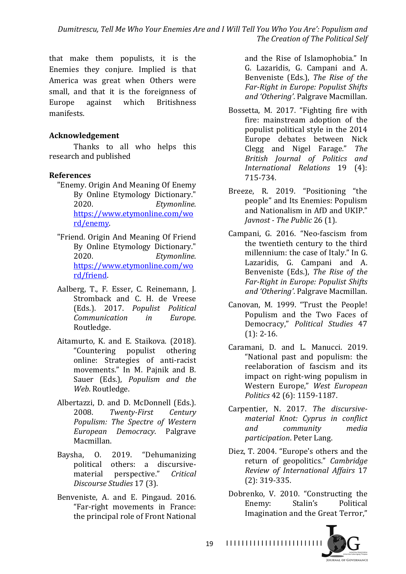Dumitrescu, Tell Me Who Your Enemies Are and I Will Tell You Who You Are': Populism and **The Creation of The Political Self** 

that make them populists, it is the Enemies they conjure. Implied is that America was great when Others were small, and that it is the foreignness of Europe against which Britishness manifests.

#### **Acknowledgement**

Thanks to all who helps this research and published

#### **References**

- "Enemy. Origin And Meaning Of Enemy By Online Etymology Dictionary." 2020. *Etymonline*. https://www.etymonline.com/wo rd/enemy.
- "Friend. Origin And Meaning Of Friend By Online Etymology Dictionary." 2020. *Etymonline*. https://www.etymonline.com/wo rd/friend.
- Aalberg, T., F. Esser, C. Reinemann, J. Stromback and C. H. de Vreese (Eds.). 2017. *Populist Political Communication in Europe*. Routledge.
- Aitamurto, K. and E. Staikova. (2018). "Countering populist othering online: Strategies of anti-racist movements." In M. Painik and B. Sauer (Eds.), *Populism and the* Web. Routledge.
- Albertazzi, D. and D. McDonnell (Eds.). 2008. Twenty-First Century *Populism: The Spectre of Western European Democracy*. Palgrave Macmillan.
- Baysha, O. 2019. "Dehumanizing political others: a discursivematerial perspective." *Critical Discourse Studies* 17 (3).
- Benveniste, A. and E. Pingaud. 2016. "Far-right movements in France: the principal role of Front National

and the Rise of Islamophobia." In G. Lazaridis, G. Campani and A. Benveniste (Eds.), *The Rise of the Far-Right in Europe: Populist Shifts* and 'Othering'. Palgrave Macmillan.

- Bossetta, M. 2017. "Fighting fire with fire: mainstream adoption of the populist political style in the 2014 Europe debates between Nick Clegg and Nigel Farage." The *British Journal of Politics and International Relations* 19 (4): 715-734.
- Breeze, R. 2019. "Positioning "the people" and Its Enemies: Populism and Nationalism in AfD and UKIP." *Javnost* - *The Public* 26 (1).
- Campani, G. 2016. "Neo-fascism from the twentieth century to the third millennium: the case of Italy." In G. Lazaridis, G. Campani and A. Benveniste (Eds.), *The Rise of the Far-Right in Europe: Populist Shifts* and 'Othering'. Palgrave Macmillan.
- Canovan, M. 1999. "Trust the People! Populism and the Two Faces of Democracy," *Political Studies* 47  $(1): 2-16.$
- Caramani, D. and L. Manucci. 2019. "National past and populism: the reelaboration of fascism and its impact on right-wing populism in Western Europe," *West European Politics* 42 (6): 1159-1187.
- Carpentier, N. 2017. The discursive*material Knot: Cyprus in conflict and community media participation*. Peter Lang.
- Diez, T. 2004. "Europe's others and the return of geopolitics." Cambridge *Review of International Affairs* 17 (2): 319-335.
- Dobrenko, V. 2010. "Constructing the Enemy: Stalin's Political Imagination and the Great Terror."



I I I I I I I I I I I I I I I I I I I I I I I I I 19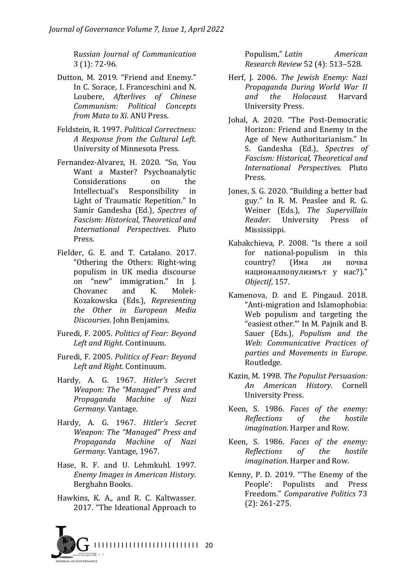R*ussian Journal of Communication*   $3(1): 72-96.$ 

- Dutton, M. 2019. "Friend and Enemy." In C. Sorace, I. Franceschini and N. Loubere, *Afterlives* of *Chinese Communism: Political Concepts from Mato to Xi. ANU Press.*
- Feldstein, R. 1997. Political Correctness: *A Response from the Cultural Left*. University of Minnesota Press.
- Fernandez-Alvarez, H. 2020. "So, You Want a Master? Psychoanalytic Considerations on the Intellectual's Responsibility in Light of Traumatic Repetition." In Samir Gandesha (Ed.), Spectres of *Fascism: Historical, Theoretical and International Perspectives*. Pluto Press.
- Fielder, G. E. and T. Catalano. 2017. "Othering the Others: Right-wing populism in UK media discourse on "new" immigration." In J. Chovanec and K. Molek-Kozakowska (Eds.), *Representing the Other in European Media Discourses*. John Benjamins.
- Furedi, F. 2005. *Politics of Fear: Beyond* Left and Right. Continuum.
- Furedi, F. 2005. *Politics of Fear: Beyond* Left and Right. Continuum.
- Hardy, A. G. 1967. *Hitler's Secret*  Weapon: The "Managed" Press and *Propaganda Machine of Nazi Germany*. Vantage.
- Hardy, A. G. 1967. *Hitler's Secret Weapon: The "Managed" Press and Propaganda Machine of Nazi Germany*. Vantage, 1967.
- Hase, R. F. and U. Lehmkuhl. 1997. *Enemy Images in American History*. Berghahn Books.
- Hawkins, K. A., and R. C. Kaltwasser. 2017. "The Ideational Approach to

Populism," *Latin American Research Review* 52 (4): 513–528.

- Herf, J. 2006. *The Jewish Enemy: Nazi Propaganda During World War II and the Holocaust* Harvard University Press.
- Johal, A. 2020. "The Post-Democratic Horizon: Friend and Enemy in the Age of New Authoritarianism." In S. Gandesha (Ed.), Spectres of *Fascism: Historical, Theoretical and International Perspectives*. Pluto Press.
- Jones, S. G. 2020. "Building a better bad guy." In R. M. Peaslee and R. G. Weiner (Eds.), The Supervillain *Reader*. University Press of Mississippi.
- Kabakchieva, P. 2008. "Is there a soil for national-populism in this country? (Има ли почва националпопулизмът у нас?)." *Objectif*, 157.
- Kamenova, D. and E. Pingaud. 2018. "Anti-migration and Islamophobia: Web populism and targeting the "easiest other."' In M. Pajnik and B. Sauer (Eds.), *Populism and the Web: Communicative Practices of parties and Movements in Europe*. Routledge.
- Kazin, M. 1998. *The Populist Persuasion: An American History*. Cornell University Press.
- Keen, S. 1986. *Faces of the enemy: Reflections of the hostile imagination*. Harper and Row.
- Keen, S. 1986. *Faces of the enemy: Reflections of the hostile imagination*. Harper and Row.
- Kenny, P. D. 2019. "The Enemy of the People': Populists and Press Freedom." *Comparative Politics* 73  $(2): 261 - 275.$

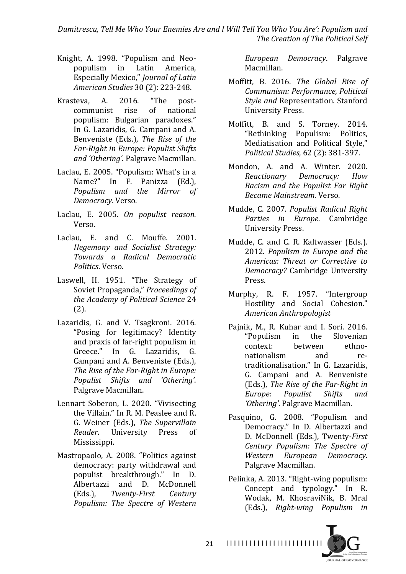Dumitrescu, Tell Me Who Your Enemies Are and I Will Tell You Who You Are': Populism and **The Creation of The Political Self** 

- Knight, A. 1998. "Populism and Neopopulism in Latin America, Especially Mexico," *Journal of Latin American Studies* 30 (2): 223-248.
- Krasteva, A. 2016. "The postcommunist rise of national populism: Bulgarian paradoxes." In G. Lazaridis, G. Campani and A. Benveniste (Eds.), *The Rise of the Far-Right in Europe: Populist Shifts* and 'Othering'. Palgrave Macmillan.
- Laclau, E. 2005. "Populism: What's in a Name?" In F. Panizza (Ed.), *Populism and the Mirror of Democracy*. Verso.
- Laclau, E. 2005. On populist reason. Verso.
- Laclau, E. and C. Mouffe. 2001. *Hegemony and Socialist Strategy: Towards a Radical Democratic Politics*. Verso.
- Laswell, H. 1951. "The Strategy of Soviet Propaganda," *Proceedings of the Academy of Political Science* 24 (2).
- Lazaridis, G. and V. Tsagkroni. 2016. "Posing for legitimacy? Identity and praxis of far-right populism in Greece." In G. Lazaridis, G. Campani and A. Benveniste (Eds.), The Rise of the Far-Right in Europe: *Populist Shifts and 'Othering'*. Palgrave Macmillan.
- Lennart Soberon, L. 2020. "Vivisecting the Villain." In R. M. Peaslee and R. G. Weiner (Eds.), *The Supervillain Reader.* University Press of Mississippi.
- Mastropaolo, A. 2008. "Politics against democracy: party withdrawal and populist breakthrough." In D. Albertazzi and D. McDonnell (Eds.), *Twenty-First Century Populism: The Spectre of Western*

*European Democracy*. Palgrave Macmillan.

- Moffitt, B. 2016. *The Global Rise of Communism: Performance, Political*  **Style and Representation. Stanford** University Press.
- Moffitt. B. and S. Torney. 2014. "Rethinking Populism: Politics, Mediatisation and Political Style," *Political Studies*, 62 (2): 381-397.
- Mondon, A. and A. Winter. 2020. *Reactionary Democracy: How Racism and the Populist Far Right Became Mainstream*. Verso.
- Mudde, C. 2007. Populist Radical Right *Parties in Europe*. Cambridge University Press.
- Mudde, C. and C. R. Kaltwasser (Eds.). 2012. Populism in Europe and the *Americas: Threat or Corrective to Democracy?* Cambridge University Press.
- Murphy, R. F. 1957. "Intergroup Hostility and Social Cohesion." *American Anthropologist*
- Pajnik, M., R. Kuhar and I. Sori. 2016. "Populism in the Slovenian context: between ethnonationalism and retraditionalisation." In G. Lazaridis, G. Campani and A. Benveniste (Eds.). *The Rise of the Far-Right in Europe: Populist Shifts and*  'Othering'. Palgrave Macmillan.
- Pasquino, G. 2008. "Populism and Democracy." In D. Albertazzi and D. McDonnell (Eds.), Twenty*-First Century Populism: The Spectre of Western European Democracy*. Palgrave Macmillan.
- Pelinka, A. 2013. "Right-wing populism: Concept and typology." In R. Wodak, M. KhosraviNik, B. Mral (Eds.), *Right-wing Populism in*



I I I I I I I I I I I I I I I I I I I I I I I I I 21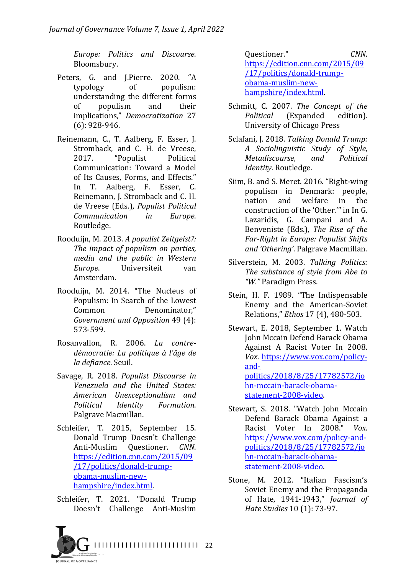*Europe: Politics and Discourse*. Bloomsbury.

- Peters, G. and J.Pierre. 2020. "A typology of populism: understanding the different forms of populism and their implications," *Democratization* 27  $(6)$ : 928-946.
- Reinemann, C., T. Aalberg, F. Esser, J. Stromback, and C. H. de Vreese, 2017. "Populist Political Communication: Toward a Model of Its Causes, Forms, and Effects." In T. Aalberg, F. Esser, C. Reinemann, J. Stromback and C. H. de Vreese (Eds.), *Populist Political Communication in Europe*. Routledge.
- Rooduijn, M. 2013. A populist Zeitgeist?: The *impact of populism on parties*, *media and the public in Western Europe*. Universiteit van Amsterdam.
- Rooduijn, M. 2014. "The Nucleus of Populism: In Search of the Lowest Common Denominator." *Government and Opposition* 49 (4): 573-599.
- Rosanvallon, R. 2006. *La contredémocratie: La politique à l'âge de la defiance*. Seuil.
- Savage, R. 2018. *Populist Discourse in Venezuela and the United States: American Unexceptionalism and Political Identity Formation*. Palgrave Macmillan.
- Schleifer, T. 2015, September 15. Donald Trump Doesn't Challenge Anti-Muslim Questioner. *CNN*. https://edition.cnn.com/2015/09 /17/politics/donald-trumpobama-muslim-newhampshire/index.html.
- Schleifer, T. 2021. "Donald Trump Doesn't Challenge Anti-Muslim



Questioner." *CNN*. https://edition.cnn.com/2015/09 /17/politics/donald-trumpobama-muslim-newhampshire/index.html.

- Schmitt, C. 2007. *The Concept of the Political* (Expanded edition). University of Chicago Press
- Sclafani, J. 2018. Talking Donald Trump: *A Sociolinguistic Study of Style, Metadiscourse, and Political Identity*. Routledge.
- Siim, B. and S. Meret. 2016. "Right-wing populism in Denmark: people, nation and welfare in the construction of the 'Other." in In G. Lazaridis, G. Campani and A. Benveniste (Eds.), *The Rise of the Far-Right in Europe: Populist Shifts* and 'Othering'. Palgrave Macmillan.
- Silverstein, M. 2003. *Talking Politics:* The substance of style from Abe to *"W."* Paradigm Press.
- Stein, H. F. 1989. "The Indispensable Enemy and the American-Soviet Relations," *Ethos* 17 (4), 480-503.
- Stewart, E. 2018, September 1. Watch John Mccain Defend Barack Obama Against A Racist Voter In 2008. *Vox*. https://www.vox.com/policyandpolitics/2018/8/25/17782572/jo hn-mccain-barack-obamastatement-2008-video.
- Stewart, S. 2018. "Watch John Mccain Defend Barack Obama Against a Racist Voter In 2008." Vox. https://www.vox.com/policy-andpolitics/2018/8/25/17782572/jo hn-mccain-barack-obamastatement-2008-video.
- Stone, M. 2012. "Italian Fascism's Soviet Enemy and the Propaganda of Hate, 1941-1943," *Journal of Hate Studies* 10 (1): 73-97.